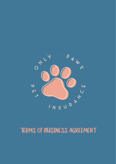# **TERMS OF BUSINESS AGREEMENT**

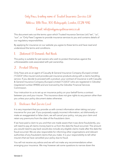Only Paws, trading name of Trusted Insurance Services Ltd Address: 18th Floor, 100 Bishopsgate, London, EC2N 4AG

# Email: info@onlypawspetinsurance.co.uk

This document sets out the terms upon which Trusted Insurance Services Ltd ("we", "us", "our", or "Only Paws") agrees to provide insurance services to you and contains details of our regulatory responsibilities.

By applying for insurance on our website you agree to these terms and have read and understood the terms and conditions.

#### **Statement Of Demands And Needs** 1

This policy is suitable for pet owners who wish to protect themselves against the unforeseeable costs associated with pet ownership.

# 2. Product Offering

Only Paws acts as an agent of Casualty & General Insurance Company (Europe) Limited ("CGICE") (the insurer) and provides pet insurance products along with a claims handling service. If you decide to proceed with a product, your contract of insurance is with Casualty & General Insurance Company (Europe) Limited ("CGICE") who are registered in Gibraltar (registered number 89400) and are licenced by the Gibraltar Financial Services Commission.

Your instruction to us to set up an insurance policy on your behalf forms a contract between you and your insurer. This insurance does not give rights to any person other than you unless your policy document states otherwise.

#### Disclosure And Service Level  $\mathbf{3}$

It is very important that you provide us with correct information when taking out your insurance for your pet. If you purposely supply incorrect information, act dishonestly or make an exaggerated or false claim, we will cancel your policy, not pay your claim and retain any premiums from the date of the fraudulent claim.

If we have paid a claim to you and then are made aware that it was done fraudulently, you will need to pay all claims money back to us from the date the fraud occurred. The amount you would need to pay back would also include any eligible claims made after the date the fraud occurred. We are also responsible for informing other organisations and relevant authorities of any fraudulent claims that you make. It is your responsibility to tell other insurers that we have cancelled your policy due to fraud.

You will not receive any advice and we will not make any recommendations when arranging your insurance. We may however ask some questions to narrow down the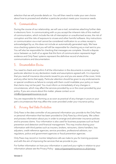selection that we will provide details on. You will then need to make your own choice about how to proceed and whether a particular product meets your insurance needs.

### 4. Communications

During the course of our relationship, we will use e-mail, sometimes attaching further data in electronic form. In communicating with us you accept the inherent risks of this method of communication, which include the risk of interception or unauthorised access, the risk of corruption and the risks of exposure to viruses and other harmful software. Any instructions or communication via e-mail cannot be considered notification to us unless receipt is acknowledged by us; this does not include an automatically generated reply. We have virus-checking systems but you will still be responsible for checking any e-mail sent to you. You will also be responsible for checking that messages are complete. Should a dispute occur between us, both of us agree that this form of communication represents legal evidence and Only Paws' systems represent the definitive record of electronic communications and documentation.

#### 5. Documentation Review

You need to check and confirm if all the information in the documents is correct, paying particular attention to any declaration made and assumptions agreed with. It is important that you read all insurance documents issued to you and you are aware of the cover, limits and any other terms that apply. Particular attention should be given to any endorsements or special conditions as failure to comply with them could invalidate your policy or mean that claims may not be paid. You must inform us immediately of any changes in circumstances, which may affect the services provided by us or the cover provided by your policy. If you are unsure about this matter, please contact us on [info@onlypawspetinsurance.co.uk.](mailto:info@onlypawspetinsurance.co.uk)

You are responsible for informing us as soon as practical of any changes in yours or your pet's circumstances that may affect the cover provided under your insurance policy.

#### **Privacy And Data Protection**  $\mathbf{6}$

Only Paws is the data controller of any personal information you provide to the Only Paws or personal information that has been provided to Only Paws by a third party. We collect and process information about you in order to arrange and administer insurance policies and to process claims. Your information is also used for business purposes such as fraud prevention and detection and financial management. This may involve sharing your information with third parties such as insurers, brokers, reinsurers, claims handlers, loss adjusters, credit reference agencies, service providers, professional advisors, our regulators, police and government agencies or fraud prevention agencies.

Only Paws may record or monitor telephone calls we make to you for training purposes and with the aim of improving the services that we provide to you.

For further information on how your information is used and your rights in relation to your information please see the Privacy Policy - [www.onlypawspetinsurance.co.uk/privacy-](www.onlypawspetinsurance.co.uk/privacy-policy)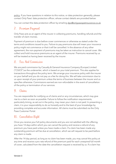[policy.](www.onlypawspetinsurance.co.uk/privacy-policy) If you have questions in relation to this notice, or data protection generally, please contact Only Paws' data protection officer, whose contact details are provided below:

You can contact the data protection officer by emailin[g dpo@onlypawspetinsurance.co.uk.](mailto:dpo@onlypawspetinsurance.co.uk)

## 7. Premium Payment

Only Paws acts as an agent of the insurer in collecting premiums, handling refunds and the transfer of claim monies.

Payment of premium is due before cover commences or otherwise as stated under the terms and conditions issued to you. Failure to pay premiums due will mean your insurance policy might not commence or that it will be cancelled. In the absence of any other agreement, the non-payment of premiums may be taken as instruction to cancel cover. We collect and hold insurance premiums as an agent of the insurer. Premiums received by us will be treated as having been received by the insurer.

### **8.** Fees And Commission

We are paid commission by Casualty & General Insurance Company (Europe) Limited ("CGICE") as the underwriter, which is based on your total premium. This also applies for transactions throughout the policy term. We arrange your insurance policy with the insurer on your behalf and you do not pay us a fee for doing this. We will take commission due to us upon receipt of your premium unless the terms of business between the insurer and us specifies otherwise. Commissions earned are non-refundable in the event of cancellation of the policy or termination of our services.

#### $\bm{q}_1$ Claims

You are responsible for notifying us of claims and or any circumstances, which may give rise to a claim as soon as possible. Failure to follow the notification requirements, particularly timing, as set out in the policy, may mean your claim is not paid. In presenting a claim, it is your responsibility to do so honestly and to the best of your knowledge by providing complete and accurate information. All claims must be submitted via the Only Paws Customer Portal.

# 10. Cancellation Right

Once you receive your full policy documents and you are not satisfied with the offering, you have 14 days within which you can cancel the policy and receive a refund of any premium you have paid unless you have made a claim. If a claim has been made any outstanding premium will be due at cancellation, which we will request to be paid before any claim is made.

After the 14 day period, as long as no claim has been made, you may cancel this policy at any time and receive a pro rata refund of the premium paid for each unexpired full month of cover, calculated from the date the cancellation request is received by us. If a claim has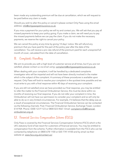been made any outstanding premium will be due at cancellation, which we will request to be paid before any claim is made.

Should you wish to alter this policy or cancel it please contact Only Paws using the email address: [info@onlypawspetinsurance.co.uk.](mailto:info@onlypawspetinsurance.co.uk)

If you miss a payment for your policy we will try and contact you. We will ask that you pay all missed payments to keep your policy going. If you make a claim, we will need you to pay the missed payments before we can pay the claim. If you do not make the necessary payments, we reserve the right to cancel your policy.

We can cancel this policy at any time by giving 14 days' notice. We will refund any premium that you have paid for the part of the policy year after the date of the cancellation. You will receive a pro rata refund of the premium paid for each unexpired full month of cover, calculated from the date of cancellation.

#### **Complaints Handling** 11.

We aim to provide you with a high level of customer service at all times, but if you are not satisfied, please contact us via email using: [complaints@onlypawspetinsurance.co.uk.](mailto:complaints@onlypawspetinsurance.co.uk)

When dealing with your complaint, it will be handled by a dedicated complaints investigator who will be impartial and will not have been directly involved in the matter which is the subject of the complaint. A summary of these procedures is available upon request. Only Paws will look to resolve your complaint in the quickest time possible and we must write to you with a final response within 40 days of receiving your complaint.

If you are still not satisfied once we have provided our final response, you may be entitled to refer the matter to the Financial Ombudsman Service, this must be done within six months of receiving our final response. If you do not refer your complaint in time, the Ombudsman will not have our permission to consider your complaint and so will only be able to do so in very limited circumstances. For example, if it believes that the delay was as a result of exceptional circumstances. The Financial Ombudsman Service can be contacted via the following channels: Post: Financial Ombudsman Service, Exchange Tower, London E14 9SR. Phone: 0300 123 9 123 or 0800 023 4567. Email: [complaint.info@financial](mailto:complaint.info@financial-ombudsman.org.uk)[ombudsman.org.uk](mailto:complaint.info@financial-ombudsman.org.uk)

# 12. Financial Services Compensation Scheme (FSCS)

Only Paws is covered by the Financial Services Compensation Scheme (FSCS) which is the UK's statutory fund of last resort for customers of financial services. You may be entitled to compensation from the scheme. Further information is available from the FSCS who can be contacted by telephone on 0800 678 1100 or 020 7741 4100 and by email via their website at: [www.fscs.org.uk/contact-us/.](www.fscs.org.uk/contact-us/)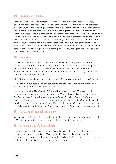# 13. Limitation Of Liability

In the event of any breach of these terms and/or in the event of any representation, statement, act or omission including negligence arising in connection with all contracts between us, then the following provisions set out our entire financial liability (including any liability for the acts or omissions of our employees, agents and subcontractors) to you. Nothing in these terms excludes or limits our liability for death or personal injury caused by Only Paws' negligence, or for Only Paws' fraud, fraudulent misrepresentation or breach of any regulatory obligation. We will not be liable to you for any losses that you or anyone else may suffer that are not directly associated with either our negligence or failure to provide our services to you in accordance with our agreement. Our total liability to you in respect of all losses arising as a direct consequence of any negligent performance of our services shall not exceed £1,250,000.

### 14. Regulation

Only Paws is a trading name of Trusted Insurance Services Ltd (Company number: 13288742 & FCA number: 950049) registered offices at 18<sup>th</sup> Floor, 100 Bishopsgate, London, England, EC2N 4AG. Trusted Insurance Services Ltd is an Appointed Representative of City Insurance Brokers Ltd, authorised and regulated by the Financial Conduct Authority (No 831252).

This information can be checked by visiting the FCA website at [www.fca.org.uk/register.](www.fca.org.uk/register)

Our permitted business is non-advised selling and assisting in the administration and performance of general insurance contracts.

Insurance is provided by Casualty & General Insurance Company (Europe) Ltd which is regulated in Gibraltar under company number: 89400 with a registered address at Suite 3A, Centre plaza, 2 Horse Barrack Lane, Main Street, Gibraltar. Casualty & General Insurance Company (Europe) Ltd is authorised and regulated by the Gibraltar Financial Services Commission under the Financial Services (Insurance Companies) Act subject to limited regulation by the Financial Conduct Authority and Prudential Regulation Authority.

# 15. Professional Indemnity Insurance

We maintain professional indemnity insurance in accordance with the requirements of the FCA. The limit of indemnity will be not less than £1,250,000 per claim.

### 16. Governing Law And Jurisdiction

Both parties are entitled to choose the law applicable to this contract of insurance. We propose the law of England and Wales and in the absence of any agreement to the contrary, the relevant law of England and Wales shall apply. Any disputes shall be referred to the exclusive jurisdiction of the relevant English Courts.